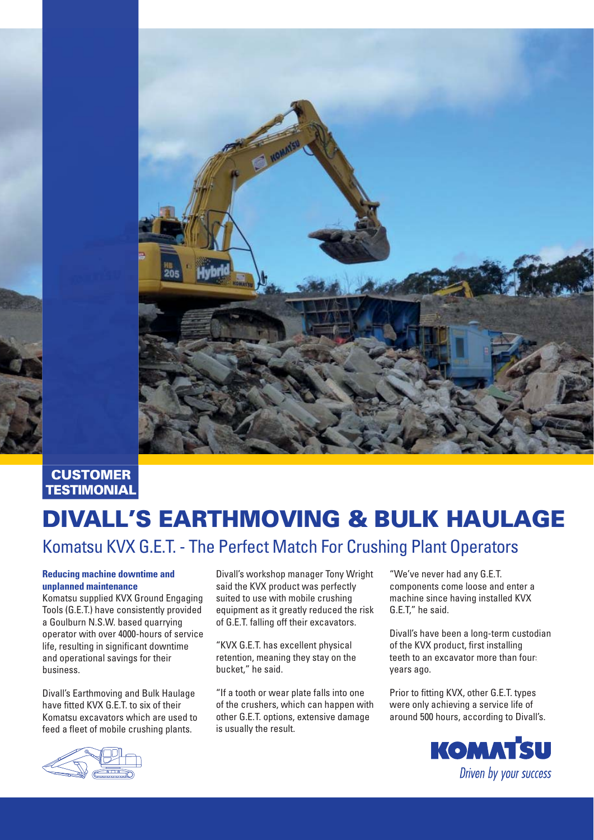

### **CUSTOMER TESTIMONIAL**

# DIVALL'S EARTHMOVING & BULK HAULAGE

# Komatsu KVX G.E.T. - The Perfect Match For Crushing Plant Operators

#### **Reducing machine downtime and unplanned maintenance**

Komatsu supplied KVX Ground Engaging Tools (G.E.T.) have consistently provided a Goulburn N.S.W. based quarrying operator with over 4000-hours of service life, resulting in significant downtime and operational savings for their business.

Divall's Earthmoving and Bulk Haulage have fitted KVX G.E.T. to six of their Komatsu excavators which are used to feed a fleet of mobile crushing plants.

Divall's workshop manager Tony Wright said the KVX product was perfectly suited to use with mobile crushing equipment as it greatly reduced the risk of G.E.T. falling off their excavators.

"KVX G.E.T. has excellent physical retention, meaning they stay on the bucket," he said.

"If a tooth or wear plate falls into one of the crushers, which can happen with other G.E.T. options, extensive damage is usually the result.

"We've never had any G.E.T. components come loose and enter a machine since having installed KVX G.E.T," he said.

Divall's have been a long-term custodian of the KVX product, first installing teeth to an excavator more than fours years ago.

Prior to fitting KVX, other G.E.T. types were only achieving a service life of around 500 hours, according to Divall's.